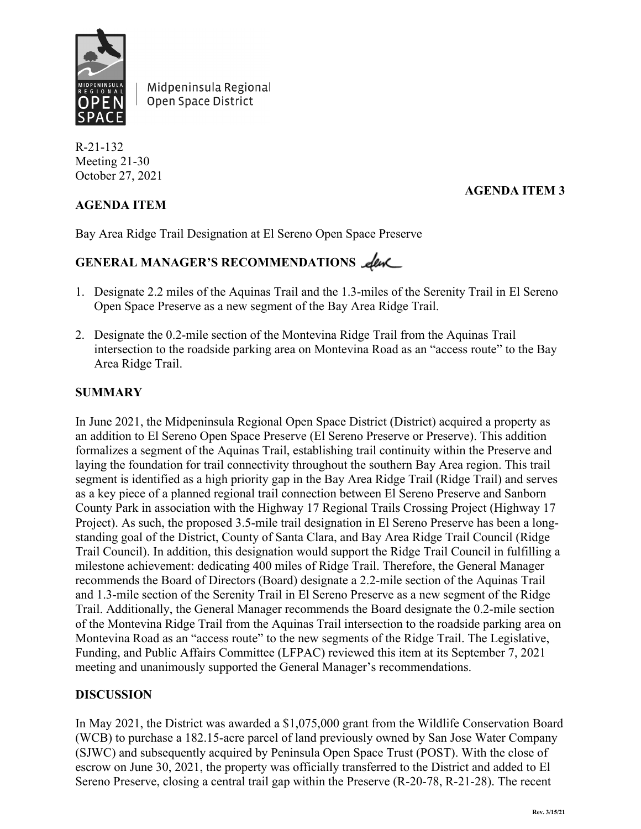

Midpeninsula Regional Open Space District

R-21-132 Meeting 21-30 October 27, 2021

### **AGENDA ITEM**

#### **AGENDA ITEM 3**

Bay Area Ridge Trail Designation at El Sereno Open Space Preserve

# GENERAL MANAGER'S RECOMMENDATIONS **Leve**

- 1. Designate 2.2 miles of the Aquinas Trail and the 1.3-miles of the Serenity Trail in El Sereno Open Space Preserve as a new segment of the Bay Area Ridge Trail.
- 2. Designate the 0.2-mile section of the Montevina Ridge Trail from the Aquinas Trail intersection to the roadside parking area on Montevina Road as an "access route" to the Bay Area Ridge Trail.

#### **SUMMARY**

In June 2021, the Midpeninsula Regional Open Space District (District) acquired a property as an addition to El Sereno Open Space Preserve (El Sereno Preserve or Preserve). This addition formalizes a segment of the Aquinas Trail, establishing trail continuity within the Preserve and laying the foundation for trail connectivity throughout the southern Bay Area region. This trail segment is identified as a high priority gap in the Bay Area Ridge Trail (Ridge Trail) and serves as a key piece of a planned regional trail connection between El Sereno Preserve and Sanborn County Park in association with the Highway 17 Regional Trails Crossing Project (Highway 17 Project). As such, the proposed 3.5-mile trail designation in El Sereno Preserve has been a longstanding goal of the District, County of Santa Clara, and Bay Area Ridge Trail Council (Ridge Trail Council). In addition, this designation would support the Ridge Trail Council in fulfilling a milestone achievement: dedicating 400 miles of Ridge Trail. Therefore, the General Manager recommends the Board of Directors (Board) designate a 2.2-mile section of the Aquinas Trail and 1.3-mile section of the Serenity Trail in El Sereno Preserve as a new segment of the Ridge Trail. Additionally, the General Manager recommends the Board designate the 0.2-mile section of the Montevina Ridge Trail from the Aquinas Trail intersection to the roadside parking area on Montevina Road as an "access route" to the new segments of the Ridge Trail. The Legislative, Funding, and Public Affairs Committee (LFPAC) reviewed this item at its September 7, 2021 meeting and unanimously supported the General Manager's recommendations.

#### **DISCUSSION**

In May 2021, the District was awarded a \$1,075,000 grant from the Wildlife Conservation Board (WCB) to purchase a 182.15-acre parcel of land previously owned by San Jose Water Company (SJWC) and subsequently acquired by Peninsula Open Space Trust (POST). With the close of escrow on June 30, 2021, the property was officially transferred to the District and added to El Sereno Preserve, closing a central trail gap within the Preserve (R-20-78, R-21-28). The recent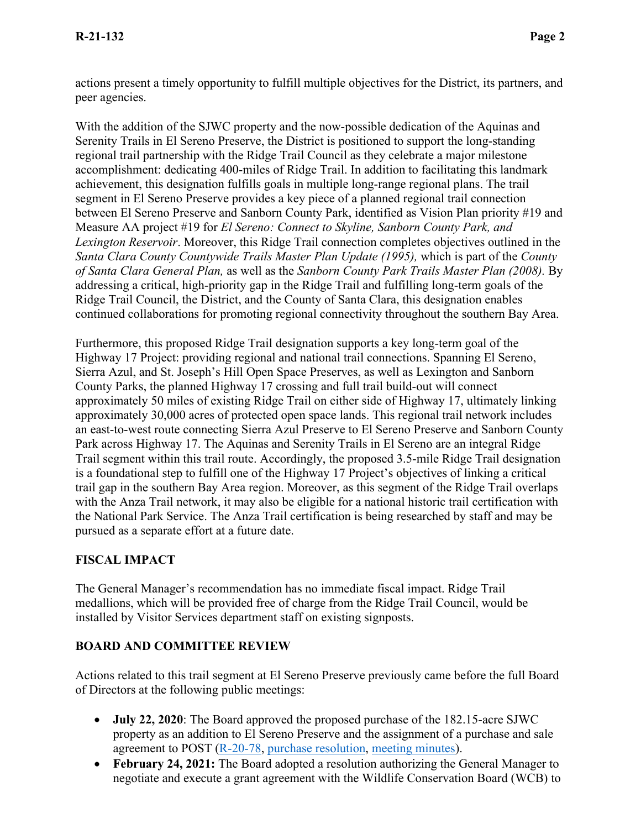actions present a timely opportunity to fulfill multiple objectives for the District, its partners, and peer agencies.

With the addition of the SJWC property and the now-possible dedication of the Aquinas and Serenity Trails in El Sereno Preserve, the District is positioned to support the long-standing regional trail partnership with the Ridge Trail Council as they celebrate a major milestone accomplishment: dedicating 400-miles of Ridge Trail. In addition to facilitating this landmark achievement, this designation fulfills goals in multiple long-range regional plans. The trail segment in El Sereno Preserve provides a key piece of a planned regional trail connection between El Sereno Preserve and Sanborn County Park, identified as Vision Plan priority #19 and Measure AA project #19 for *El Sereno: Connect to Skyline, Sanborn County Park, and Lexington Reservoir*. Moreover, this Ridge Trail connection completes objectives outlined in the *Santa Clara County Countywide Trails Master Plan Update (1995),* which is part of the *County of Santa Clara General Plan,* as well as the *Sanborn County Park Trails Master Plan (2008).* By addressing a critical, high-priority gap in the Ridge Trail and fulfilling long-term goals of the Ridge Trail Council, the District, and the County of Santa Clara, this designation enables continued collaborations for promoting regional connectivity throughout the southern Bay Area.

Furthermore, this proposed Ridge Trail designation supports a key long-term goal of the Highway 17 Project: providing regional and national trail connections. Spanning El Sereno, Sierra Azul, and St. Joseph's Hill Open Space Preserves, as well as Lexington and Sanborn County Parks, the planned Highway 17 crossing and full trail build-out will connect approximately 50 miles of existing Ridge Trail on either side of Highway 17, ultimately linking approximately 30,000 acres of protected open space lands. This regional trail network includes an east-to-west route connecting Sierra Azul Preserve to El Sereno Preserve and Sanborn County Park across Highway 17. The Aquinas and Serenity Trails in El Sereno are an integral Ridge Trail segment within this trail route. Accordingly, the proposed 3.5-mile Ridge Trail designation is a foundational step to fulfill one of the Highway 17 Project's objectives of linking a critical trail gap in the southern Bay Area region. Moreover, as this segment of the Ridge Trail overlaps with the Anza Trail network, it may also be eligible for a national historic trail certification with the National Park Service. The Anza Trail certification is being researched by staff and may be pursued as a separate effort at a future date.

# **FISCAL IMPACT**

The General Manager's recommendation has no immediate fiscal impact. Ridge Trail medallions, which will be provided free of charge from the Ridge Trail Council, would be installed by Visitor Services department staff on existing signposts.

# **BOARD AND COMMITTEE REVIEW**

Actions related to this trail segment at El Sereno Preserve previously came before the full Board of Directors at the following public meetings:

- **July 22, 2020**: The Board approved the proposed purchase of the 182.15-acre SJWC property as an addition to El Sereno Preserve and the assignment of a purchase and sale agreement to POST [\(R-20-78,](https://openspace.sharepoint.com/:w:/g/GM/Edl6JJcOyJ5JtLIEM0pRIFABwMx-K9Ek6PlDpuUZuDHJAw?e=1zQmRu) [purchase resolution,](https://openspace.sharepoint.com/:w:/g/GM/EW-rLtP8VC5HoCE-au_N-zgBOu2xFfp2-V-5tPw8IqsBag?e=2lblXI) [meeting minutes\)](https://openspace.sharepoint.com/:w:/r/GM/_layouts/15/Doc.aspx?sourcedoc=%7B7D66C2AD-994E-456D-AA1A-55B5DB48EB2A%7D&file=20200722_BOD_minutes_DRAFT.docx&action=default&mobileredirect=true).
- **February 24, 2021:** The Board adopted a resolution authorizing the General Manager to negotiate and execute a grant agreement with the Wildlife Conservation Board (WCB) to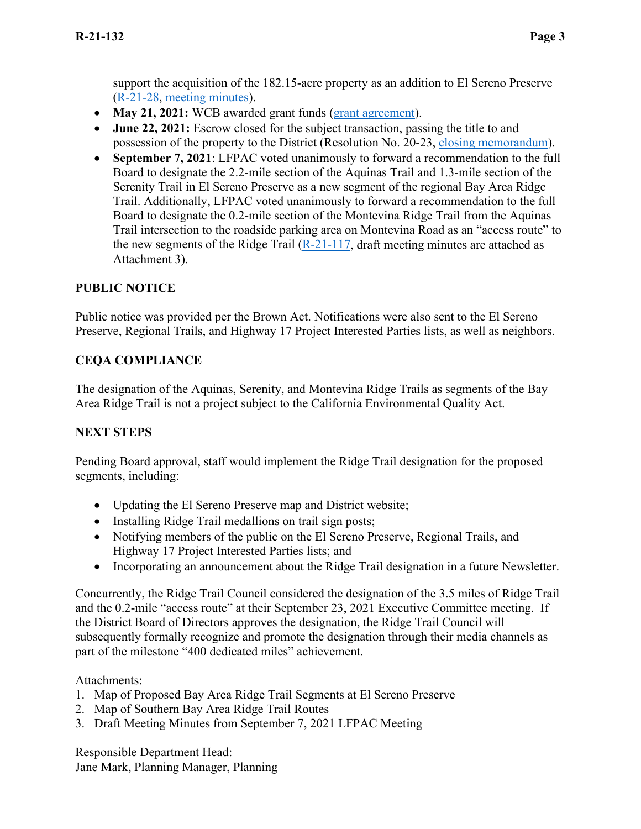support the acquisition of the 182.15-acre property as an addition to El Sereno Preserve [\(R-21-28,](https://openspace.sharepoint.com/:w:/r/GM/_layouts/15/Doc.aspx?sourcedoc=%7B7845AAC7-C266-4152-A0C1-AAF646874506%7D&file=20210224%20AGENDA%20REPORT%20-%20Wildlife%20Conservation%20Board%20Grant%20POST-SJWC%20Acquisition.docx&action=default&mobileredirect=true) [meeting minutes\)](https://openspace.sharepoint.com/:w:/r/GM/_layouts/15/Doc.aspx?sourcedoc=%7B7FE1300C-4DB0-45A5-A685-8F1484DA17F2%7D&file=20210224_BOD_minutes_DRAFT.docx&action=default&mobileredirect=true).

- **May 21, 2021:** WCB awarded grant funds [\(grant agreement\)](https://openspace.sharepoint.com/adminservices/Grants/Grants/Forms/AllItems.aspx?viewid=2ec4d078%2Dec29%2D4d12%2Dae3c%2D4d8c418a31fe&id=%2Fadminservices%2FGrants%2FGrants%2FWCB%20Member%20Request%20%2D%20El%20Sereno%20Keyhole%20Acquisition%2FAgreement%2FGrant%2DExecuted%5FAgreement%2Epdf&parent=%2Fadminservices%2FGrants%2FGrants%2FWCB%20Member%20Request%20%2D%20El%20Sereno%20Keyhole%20Acquisition%2FAgreement).
- **June 22, 2021:** Escrow closed for the subject transaction, passing the title to and possession of the property to the District (Resolution No. 20-23, [closing memorandum\)](https://openspace.sharepoint.com/projectplanning/RP/Closing%20Memos/Forms/AllItems.aspx?id=%2Fprojectplanning%2FRP%2FClosing%20Memos%2FPOST%20SJWC%20Closing%20Memo%2Epdf&parent=%2Fprojectplanning%2FRP%2FClosing%20Memos&p=true&originalPath=aHR0cHM6Ly9vcGVuc3BhY2Uuc2hhcmVwb2ludC5jb20vOmI6L2cvcHJvamVjdHBsYW5uaW5nL1JQL0VkQlBaYjNLY25OT29jd21uUDJBZkhVQnBQNWVvel9KUGxSVEx6YWJYZlJZNFE_cnRpbWU9OHFQQVlQODMyVWc).
- **September 7, 2021**: LFPAC voted unanimously to forward a recommendation to the full Board to designate the 2.2-mile section of the Aquinas Trail and 1.3-mile section of the Serenity Trail in El Sereno Preserve as a new segment of the regional Bay Area Ridge Trail. Additionally, LFPAC voted unanimously to forward a recommendation to the full Board to designate the 0.2-mile section of the Montevina Ridge Trail from the Aquinas Trail intersection to the roadside parking area on Montevina Road as an "access route" to the new segments of the Ridge Trail  $(R-21-117)$ , draft meeting minutes are attached as Attachment 3).

### **PUBLIC NOTICE**

Public notice was provided per the Brown Act. Notifications were also sent to the El Sereno Preserve, Regional Trails, and Highway 17 Project Interested Parties lists, as well as neighbors.

### **CEQA COMPLIANCE**

The designation of the Aquinas, Serenity, and Montevina Ridge Trails as segments of the Bay Area Ridge Trail is not a project subject to the California Environmental Quality Act.

#### **NEXT STEPS**

Pending Board approval, staff would implement the Ridge Trail designation for the proposed segments, including:

- Updating the El Sereno Preserve map and District website;
- Installing Ridge Trail medallions on trail sign posts;
- Notifying members of the public on the El Sereno Preserve, Regional Trails, and Highway 17 Project Interested Parties lists; and
- Incorporating an announcement about the Ridge Trail designation in a future Newsletter.

Concurrently, the Ridge Trail Council considered the designation of the 3.5 miles of Ridge Trail and the 0.2-mile "access route" at their September 23, 2021 Executive Committee meeting. If the District Board of Directors approves the designation, the Ridge Trail Council will subsequently formally recognize and promote the designation through their media channels as part of the milestone "400 dedicated miles" achievement.

Attachments:

- 1. Map of Proposed Bay Area Ridge Trail Segments at El Sereno Preserve
- 2. Map of Southern Bay Area Ridge Trail Routes
- 3. Draft Meeting Minutes from September 7, 2021 LFPAC Meeting

Responsible Department Head: Jane Mark, Planning Manager, Planning